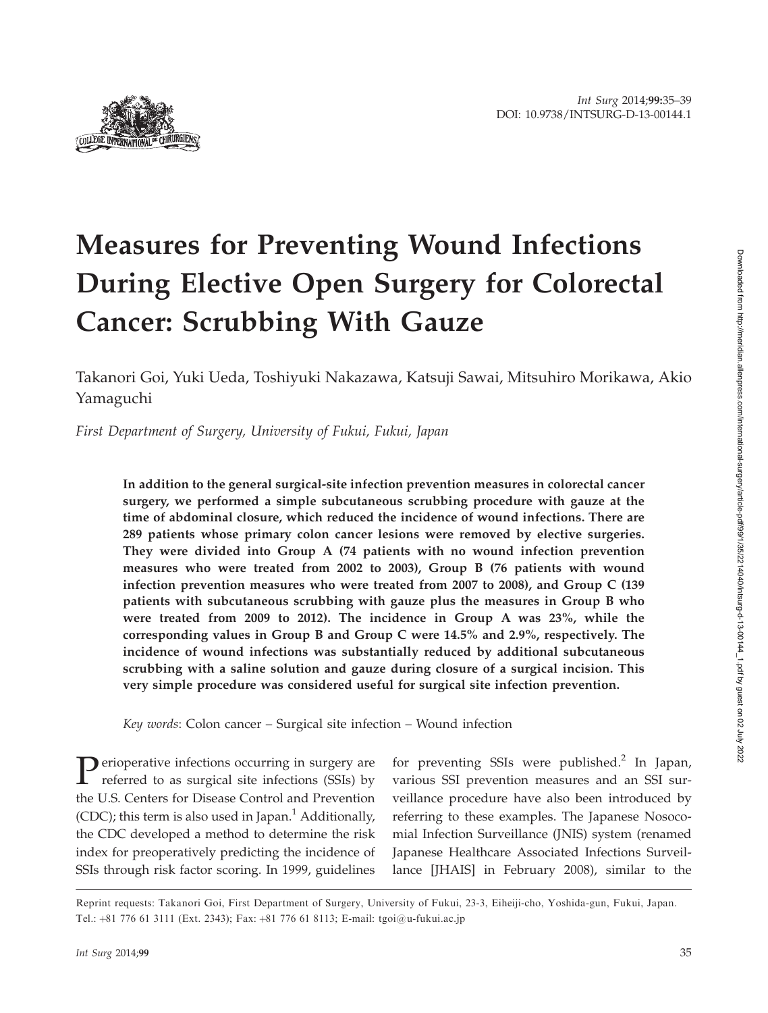

# Measures for Preventing Wound Infections During Elective Open Surgery for Colorectal Cancer: Scrubbing With Gauze

Takanori Goi, Yuki Ueda, Toshiyuki Nakazawa, Katsuji Sawai, Mitsuhiro Morikawa, Akio Yamaguchi

First Department of Surgery, University of Fukui, Fukui, Japan

In addition to the general surgical-site infection prevention measures in colorectal cancer surgery, we performed a simple subcutaneous scrubbing procedure with gauze at the time of abdominal closure, which reduced the incidence of wound infections. There are 289 patients whose primary colon cancer lesions were removed by elective surgeries. They were divided into Group A (74 patients with no wound infection prevention measures who were treated from 2002 to 2003), Group B (76 patients with wound infection prevention measures who were treated from 2007 to 2008), and Group C (139 patients with subcutaneous scrubbing with gauze plus the measures in Group B who were treated from 2009 to 2012). The incidence in Group A was 23%, while the corresponding values in Group B and Group C were 14.5% and 2.9%, respectively. The incidence of wound infections was substantially reduced by additional subcutaneous scrubbing with a saline solution and gauze during closure of a surgical incision. This very simple procedure was considered useful for surgical site infection prevention.

Key words: Colon cancer – Surgical site infection – Wound infection

**P**erioperative infections occurring in surgery are referred to as surgical site infections (SSIs) by the U.S. Centers for Disease Control and Prevention (CDC); this term is also used in Japan. $<sup>1</sup>$  Additionally,</sup> the CDC developed a method to determine the risk index for preoperatively predicting the incidence of SSIs through risk factor scoring. In 1999, guidelines

for preventing SSIs were published.<sup>2</sup> In Japan, various SSI prevention measures and an SSI surveillance procedure have also been introduced by referring to these examples. The Japanese Nosocomial Infection Surveillance (JNIS) system (renamed Japanese Healthcare Associated Infections Surveillance [JHAIS] in February 2008), similar to the

Reprint requests: Takanori Goi, First Department of Surgery, University of Fukui, 23-3, Eiheiji-cho, Yoshida-gun, Fukui, Japan. Tel.:  $+81$  776 61 3111 (Ext. 2343); Fax:  $+81$  776 61 8113; E-mail: tgoi $@u$ -fukui.ac.jp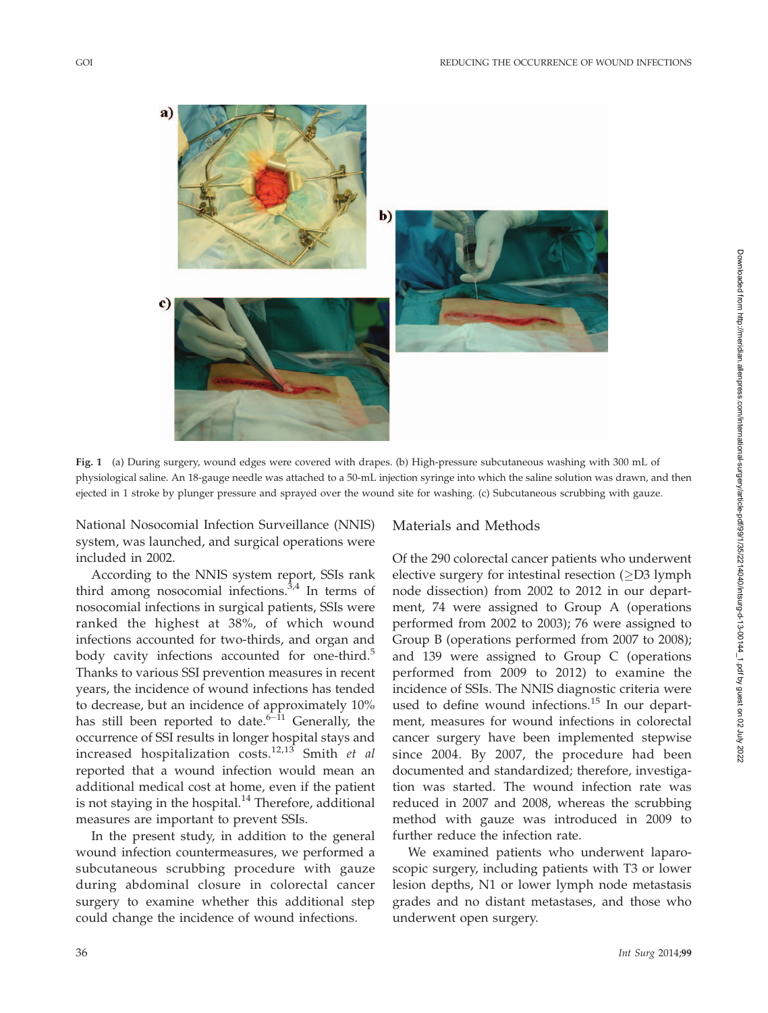

Fig. 1 (a) During surgery, wound edges were covered with drapes. (b) High-pressure subcutaneous washing with 300 mL of physiological saline. An 18-gauge needle was attached to a 50-mL injection syringe into which the saline solution was drawn, and then ejected in 1 stroke by plunger pressure and sprayed over the wound site for washing. (c) Subcutaneous scrubbing with gauze.

National Nosocomial Infection Surveillance (NNIS) system, was launched, and surgical operations were included in 2002.

According to the NNIS system report, SSIs rank third among nosocomial infections. $3,4$  In terms of nosocomial infections in surgical patients, SSIs were ranked the highest at 38%, of which wound infections accounted for two-thirds, and organ and body cavity infections accounted for one-third.<sup>5</sup> Thanks to various SSI prevention measures in recent years, the incidence of wound infections has tended to decrease, but an incidence of approximately 10% has still been reported to date.<sup>6–11</sup> Generally, the occurrence of SSI results in longer hospital stays and increased hospitalization costs.<sup>12,13</sup> Smith *et al* reported that a wound infection would mean an additional medical cost at home, even if the patient is not staying in the hospital. $14$  Therefore, additional measures are important to prevent SSIs.

In the present study, in addition to the general wound infection countermeasures, we performed a subcutaneous scrubbing procedure with gauze during abdominal closure in colorectal cancer surgery to examine whether this additional step could change the incidence of wound infections.

## Materials and Methods

Of the 290 colorectal cancer patients who underwent elective surgery for intestinal resection  $(\geq)$  lymph node dissection) from 2002 to 2012 in our department, 74 were assigned to Group A (operations performed from 2002 to 2003); 76 were assigned to Group B (operations performed from 2007 to 2008); and 139 were assigned to Group C (operations performed from 2009 to 2012) to examine the incidence of SSIs. The NNIS diagnostic criteria were used to define wound infections.<sup>15</sup> In our department, measures for wound infections in colorectal cancer surgery have been implemented stepwise since 2004. By 2007, the procedure had been documented and standardized; therefore, investigation was started. The wound infection rate was reduced in 2007 and 2008, whereas the scrubbing method with gauze was introduced in 2009 to further reduce the infection rate.

We examined patients who underwent laparoscopic surgery, including patients with T3 or lower lesion depths, N1 or lower lymph node metastasis grades and no distant metastases, and those who underwent open surgery.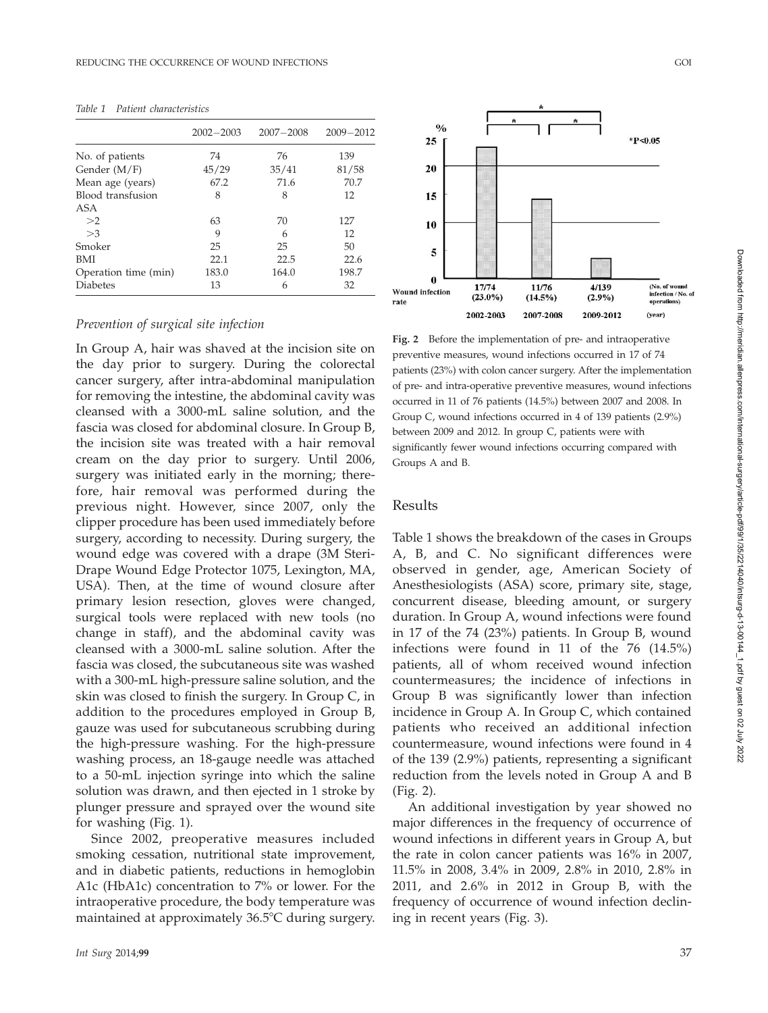|                      | $2002 - 2003$ | $2007 - 2008$ | $2009 - 2012$ |
|----------------------|---------------|---------------|---------------|
| No. of patients      | 74            | 76            | 139           |
| Gender $(M/F)$       | 45/29         | 35/41         | 81/58         |
| Mean age (years)     | 67.2          | 71.6          | 70.7          |
| Blood transfusion    | 8             | 8             | 12            |
| ASA                  |               |               |               |
| >2                   | 63            | 70            | 127           |
| >3                   | 9             | 6             | 12            |
| Smoker               | 25            | 25            | 50            |
| <b>BMI</b>           | 22.1          | 22.5          | 22.6          |
| Operation time (min) | 183.0         | 164.0         | 198.7         |
| <b>Diabetes</b>      | 13            | 6             | 32            |

Table 1 Patient characteristics

#### Prevention of surgical site infection

In Group A, hair was shaved at the incision site on the day prior to surgery. During the colorectal cancer surgery, after intra-abdominal manipulation for removing the intestine, the abdominal cavity was cleansed with a 3000-mL saline solution, and the fascia was closed for abdominal closure. In Group B, the incision site was treated with a hair removal cream on the day prior to surgery. Until 2006, surgery was initiated early in the morning; therefore, hair removal was performed during the previous night. However, since 2007, only the clipper procedure has been used immediately before surgery, according to necessity. During surgery, the wound edge was covered with a drape (3M Steri-Drape Wound Edge Protector 1075, Lexington, MA, USA). Then, at the time of wound closure after primary lesion resection, gloves were changed, surgical tools were replaced with new tools (no change in staff), and the abdominal cavity was cleansed with a 3000-mL saline solution. After the fascia was closed, the subcutaneous site was washed with a 300-mL high-pressure saline solution, and the skin was closed to finish the surgery. In Group C, in addition to the procedures employed in Group B, gauze was used for subcutaneous scrubbing during the high-pressure washing. For the high-pressure washing process, an 18-gauge needle was attached to a 50-mL injection syringe into which the saline solution was drawn, and then ejected in 1 stroke by plunger pressure and sprayed over the wound site for washing (Fig. 1).

Since 2002, preoperative measures included smoking cessation, nutritional state improvement, and in diabetic patients, reductions in hemoglobin A1c (HbA1c) concentration to 7% or lower. For the intraoperative procedure, the body temperature was maintained at approximately  $36.5^{\circ}$ C during surgery.



Fig. 2 Before the implementation of pre- and intraoperative preventive measures, wound infections occurred in 17 of 74 patients (23%) with colon cancer surgery. After the implementation of pre- and intra-operative preventive measures, wound infections occurred in 11 of 76 patients (14.5%) between 2007 and 2008. In Group C, wound infections occurred in 4 of 139 patients (2.9%) between 2009 and 2012. In group C, patients were with significantly fewer wound infections occurring compared with Groups A and B.

#### Results

Table 1 shows the breakdown of the cases in Groups A, B, and C. No significant differences were observed in gender, age, American Society of Anesthesiologists (ASA) score, primary site, stage, concurrent disease, bleeding amount, or surgery duration. In Group A, wound infections were found in 17 of the 74 (23%) patients. In Group B, wound infections were found in 11 of the 76 (14.5%) patients, all of whom received wound infection countermeasures; the incidence of infections in Group B was significantly lower than infection incidence in Group A. In Group C, which contained patients who received an additional infection countermeasure, wound infections were found in 4 of the 139 (2.9%) patients, representing a significant reduction from the levels noted in Group A and B (Fig. 2).

An additional investigation by year showed no major differences in the frequency of occurrence of wound infections in different years in Group A, but the rate in colon cancer patients was 16% in 2007, 11.5% in 2008, 3.4% in 2009, 2.8% in 2010, 2.8% in 2011, and 2.6% in 2012 in Group B, with the frequency of occurrence of wound infection declining in recent years (Fig. 3).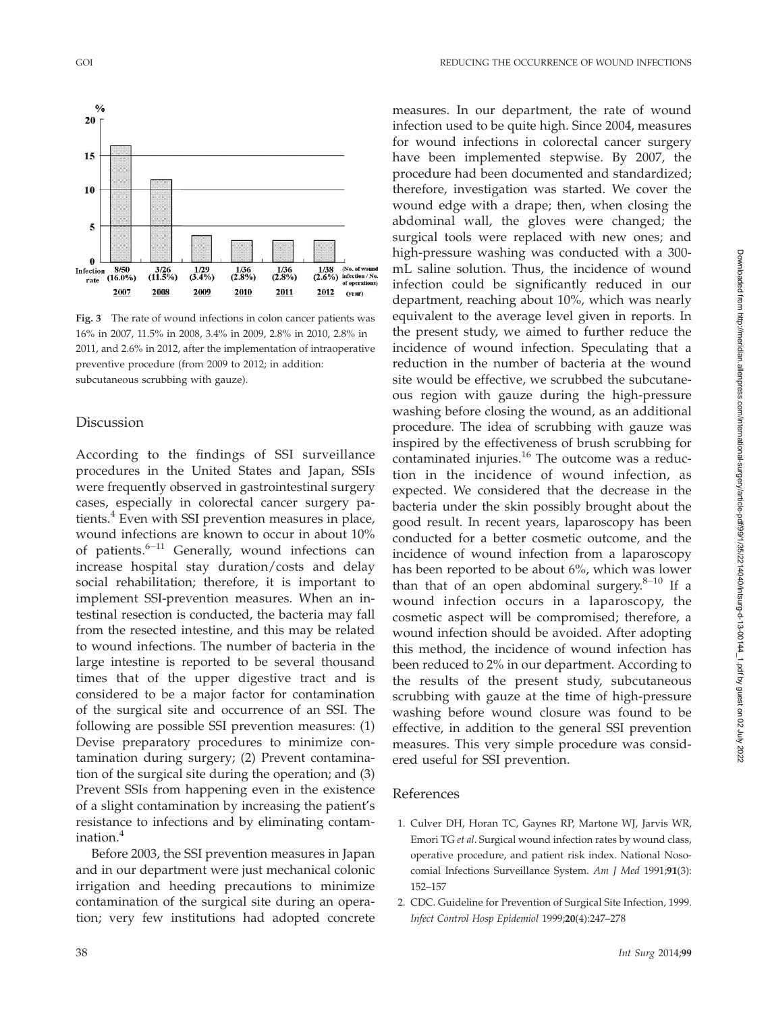

Fig. 3 The rate of wound infections in colon cancer patients was 16% in 2007, 11.5% in 2008, 3.4% in 2009, 2.8% in 2010, 2.8% in 2011, and 2.6% in 2012, after the implementation of intraoperative preventive procedure (from 2009 to 2012; in addition: subcutaneous scrubbing with gauze).

## Discussion

According to the findings of SSI surveillance procedures in the United States and Japan, SSIs were frequently observed in gastrointestinal surgery cases, especially in colorectal cancer surgery patients.<sup>4</sup> Even with SSI prevention measures in place, wound infections are known to occur in about 10% of patients.<sup>6-11</sup> Generally, wound infections can increase hospital stay duration/costs and delay social rehabilitation; therefore, it is important to implement SSI-prevention measures. When an intestinal resection is conducted, the bacteria may fall from the resected intestine, and this may be related to wound infections. The number of bacteria in the large intestine is reported to be several thousand times that of the upper digestive tract and is considered to be a major factor for contamination of the surgical site and occurrence of an SSI. The following are possible SSI prevention measures: (1) Devise preparatory procedures to minimize contamination during surgery; (2) Prevent contamination of the surgical site during the operation; and (3) Prevent SSIs from happening even in the existence of a slight contamination by increasing the patient's resistance to infections and by eliminating contamination.<sup>4</sup>

Before 2003, the SSI prevention measures in Japan and in our department were just mechanical colonic irrigation and heeding precautions to minimize contamination of the surgical site during an operation; very few institutions had adopted concrete measures. In our department, the rate of wound infection used to be quite high. Since 2004, measures for wound infections in colorectal cancer surgery have been implemented stepwise. By 2007, the procedure had been documented and standardized; therefore, investigation was started. We cover the wound edge with a drape; then, when closing the abdominal wall, the gloves were changed; the surgical tools were replaced with new ones; and high-pressure washing was conducted with a 300 mL saline solution. Thus, the incidence of wound infection could be significantly reduced in our department, reaching about 10%, which was nearly equivalent to the average level given in reports. In the present study, we aimed to further reduce the incidence of wound infection. Speculating that a reduction in the number of bacteria at the wound site would be effective, we scrubbed the subcutaneous region with gauze during the high-pressure washing before closing the wound, as an additional procedure. The idea of scrubbing with gauze was inspired by the effectiveness of brush scrubbing for contaminated injuries.<sup>16</sup> The outcome was a reduction in the incidence of wound infection, as expected. We considered that the decrease in the bacteria under the skin possibly brought about the good result. In recent years, laparoscopy has been conducted for a better cosmetic outcome, and the incidence of wound infection from a laparoscopy has been reported to be about 6%, which was lower than that of an open abdominal surgery.<sup>8-10</sup> If a wound infection occurs in a laparoscopy, the cosmetic aspect will be compromised; therefore, a wound infection should be avoided. After adopting this method, the incidence of wound infection has been reduced to 2% in our department. According to the results of the present study, subcutaneous scrubbing with gauze at the time of high-pressure washing before wound closure was found to be effective, in addition to the general SSI prevention measures. This very simple procedure was considered useful for SSI prevention.

### References

- 1. Culver DH, Horan TC, Gaynes RP, Martone WJ, Jarvis WR, Emori TG et al. Surgical wound infection rates by wound class, operative procedure, and patient risk index. National Nosocomial Infections Surveillance System. Am J Med 1991;91(3): 152–157
- 2. CDC. Guideline for Prevention of Surgical Site Infection, 1999. Infect Control Hosp Epidemiol 1999;20(4):247–278